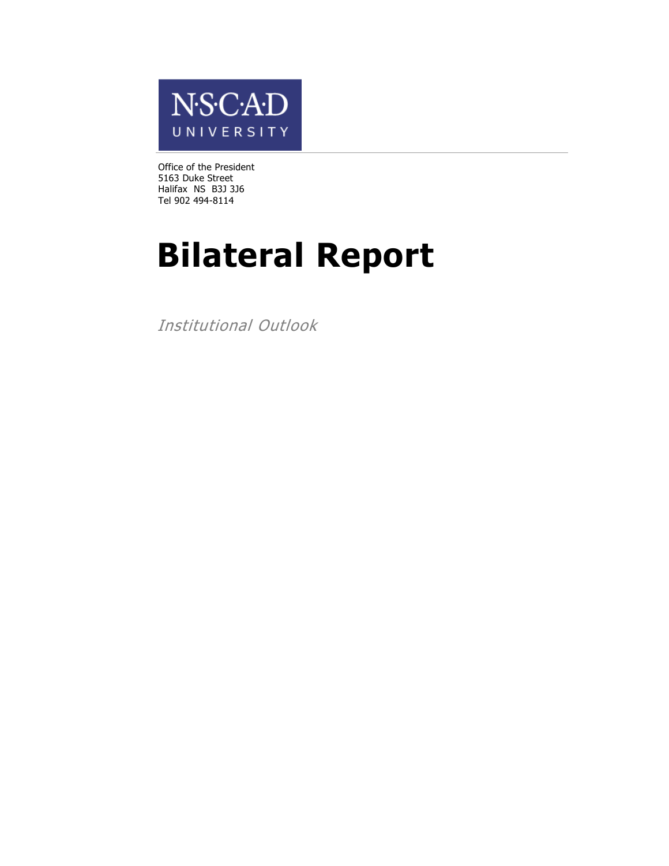

Office of the President 5163 Duke Street Halifax NS B3J 3J6 Tel 902 494-8114

# **Bilateral Report**

Institutional Outlook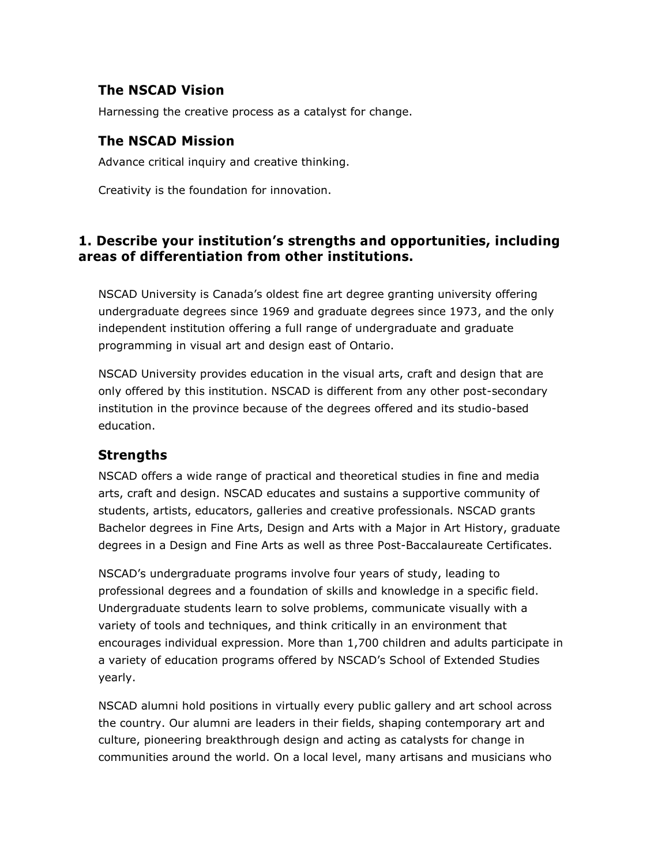# **The NSCAD Vision**

Harnessing the creative process as a catalyst for change.

# **The NSCAD Mission**

Advance critical inquiry and creative thinking.

Creativity is the foundation for innovation.

# **1. Describe your institution's strengths and opportunities, including areas of differentiation from other institutions.**

NSCAD University is Canada's oldest fine art degree granting university offering undergraduate degrees since 1969 and graduate degrees since 1973, and the only independent institution offering a full range of undergraduate and graduate programming in visual art and design east of Ontario.

NSCAD University provides education in the visual arts, craft and design that are only offered by this institution. NSCAD is different from any other post-secondary institution in the province because of the degrees offered and its studio-based education.

# **Strengths**

NSCAD offers a wide range of practical and theoretical studies in fine and media arts, craft and design. NSCAD educates and sustains a supportive community of students, artists, educators, galleries and creative professionals. NSCAD grants Bachelor degrees in Fine Arts, Design and Arts with a Major in Art History, graduate degrees in a Design and Fine Arts as well as three Post-Baccalaureate Certificates.

NSCAD's undergraduate programs involve four years of study, leading to professional degrees and a foundation of skills and knowledge in a specific field. Undergraduate students learn to solve problems, communicate visually with a variety of tools and techniques, and think critically in an environment that encourages individual expression. More than 1,700 children and adults participate in a variety of education programs offered by NSCAD's School of Extended Studies yearly.

NSCAD alumni hold positions in virtually every public gallery and art school across the country. Our alumni are leaders in their fields, shaping contemporary art and culture, pioneering breakthrough design and acting as catalysts for change in communities around the world. On a local level, many artisans and musicians who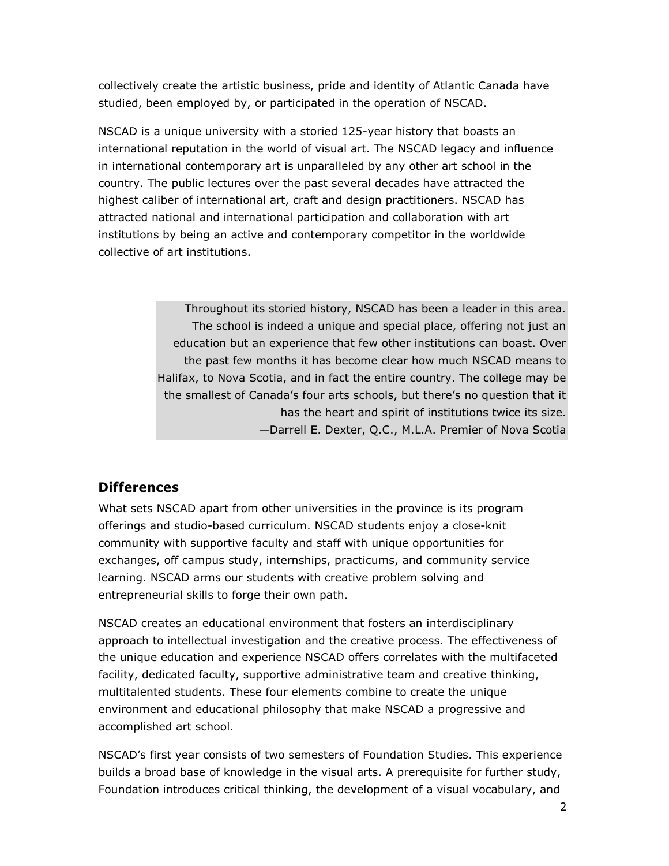collectively create the artistic business, pride and identity of Atlantic Canada have studied, been employed by, or participated in the operation of NSCAD.

NSCAD is a unique university with a storied 125-year history that boasts an international reputation in the world of visual art. The NSCAD legacy and influence in international contemporary art is unparalleled by any other art school in the country. The public lectures over the past several decades have attracted the highest caliber of international art, craft and design practitioners. NSCAD has attracted national and international participation and collaboration with art institutions by being an active and contemporary competitor in the worldwide collective of art institutions.

> Throughout its storied history, NSCAD has been a leader in this area. The school is indeed a unique and special place, offering not just an education but an experience that few other institutions can boast. Over the past few months it has become clear how much NSCAD means to Halifax, to Nova Scotia, and in fact the entire country. The college may be the smallest of Canada's four arts schools, but there's no question that it has the heart and spirit of institutions twice its size. —Darrell E. Dexter, Q.C., M.L.A. Premier of Nova Scotia

# **Differences**

What sets NSCAD apart from other universities in the province is its program offerings and studio-based curriculum. NSCAD students enjoy a close-knit community with supportive faculty and staff with unique opportunities for exchanges, off campus study, internships, practicums, and community service learning. NSCAD arms our students with creative problem solving and entrepreneurial skills to forge their own path.

NSCAD creates an educational environment that fosters an interdisciplinary approach to intellectual investigation and the creative process. The effectiveness of the unique education and experience NSCAD offers correlates with the multifaceted facility, dedicated faculty, supportive administrative team and creative thinking, multitalented students. These four elements combine to create the unique environment and educational philosophy that make NSCAD a progressive and accomplished art school.

NSCAD's first year consists of two semesters of Foundation Studies. This experience builds a broad base of knowledge in the visual arts. A prerequisite for further study, Foundation introduces critical thinking, the development of a visual vocabulary, and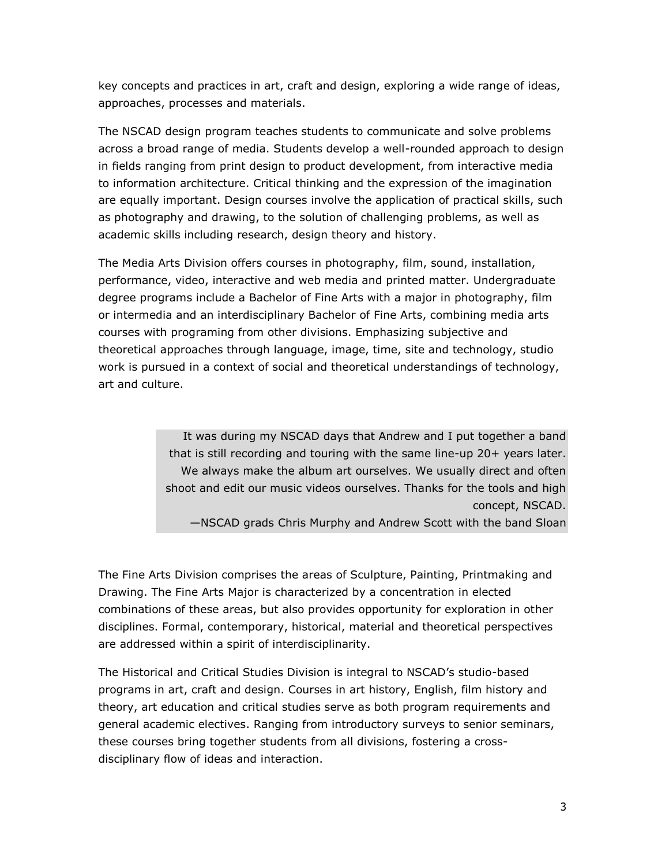key concepts and practices in art, craft and design, exploring a wide range of ideas, approaches, processes and materials.

The NSCAD design program teaches students to communicate and solve problems across a broad range of media. Students develop a well-rounded approach to design in fields ranging from print design to product development, from interactive media to information architecture. Critical thinking and the expression of the imagination are equally important. Design courses involve the application of practical skills, such as photography and drawing, to the solution of challenging problems, as well as academic skills including research, design theory and history.

The Media Arts Division offers courses in photography, film, sound, installation, performance, video, interactive and web media and printed matter. Undergraduate degree programs include a Bachelor of Fine Arts with a major in photography, film or intermedia and an interdisciplinary Bachelor of Fine Arts, combining media arts courses with programing from other divisions. Emphasizing subjective and theoretical approaches through language, image, time, site and technology, studio work is pursued in a context of social and theoretical understandings of technology, art and culture.

> It was during my NSCAD days that Andrew and I put together a band that is still recording and touring with the same line-up 20+ years later. We always make the album art ourselves. We usually direct and often shoot and edit our music videos ourselves. Thanks for the tools and high concept, NSCAD. —NSCAD grads Chris Murphy and Andrew Scott with the band Sloan

The Fine Arts Division comprises the areas of Sculpture, Painting, Printmaking and Drawing. The Fine Arts Major is characterized by a concentration in elected combinations of these areas, but also provides opportunity for exploration in other disciplines. Formal, contemporary, historical, material and theoretical perspectives are addressed within a spirit of interdisciplinarity.

The Historical and Critical Studies Division is integral to NSCAD's studio-based programs in art, craft and design. Courses in art history, English, film history and theory, art education and critical studies serve as both program requirements and general academic electives. Ranging from introductory surveys to senior seminars, these courses bring together students from all divisions, fostering a crossdisciplinary flow of ideas and interaction.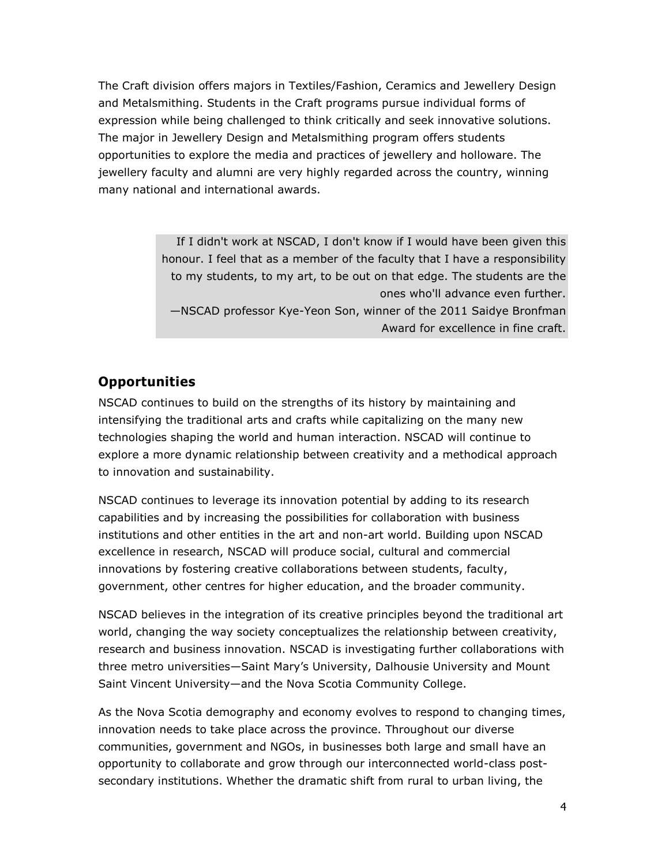The Craft division offers majors in Textiles/Fashion, Ceramics and Jewellery Design and Metalsmithing. Students in the Craft programs pursue individual forms of expression while being challenged to think critically and seek innovative solutions. The major in Jewellery Design and Metalsmithing program offers students opportunities to explore the media and practices of jewellery and holloware. The jewellery faculty and alumni are very highly regarded across the country, winning many national and international awards.

> If I didn't work at NSCAD, I don't know if I would have been given this honour. I feel that as a member of the faculty that I have a responsibility to my students, to my art, to be out on that edge. The students are the ones who'll advance even further. —NSCAD professor Kye-Yeon Son, winner of the 2011 Saidye Bronfman Award for excellence in fine craft.

# **Opportunities**

NSCAD continues to build on the strengths of its history by maintaining and intensifying the traditional arts and crafts while capitalizing on the many new technologies shaping the world and human interaction. NSCAD will continue to explore a more dynamic relationship between creativity and a methodical approach to innovation and sustainability.

NSCAD continues to leverage its innovation potential by adding to its research capabilities and by increasing the possibilities for collaboration with business institutions and other entities in the art and non-art world. Building upon NSCAD excellence in research, NSCAD will produce social, cultural and commercial innovations by fostering creative collaborations between students, faculty, government, other centres for higher education, and the broader community.

NSCAD believes in the integration of its creative principles beyond the traditional art world, changing the way society conceptualizes the relationship between creativity, research and business innovation. NSCAD is investigating further collaborations with three metro universities—Saint Mary's University, Dalhousie University and Mount Saint Vincent University—and the Nova Scotia Community College.

As the Nova Scotia demography and economy evolves to respond to changing times, innovation needs to take place across the province. Throughout our diverse communities, government and NGOs, in businesses both large and small have an opportunity to collaborate and grow through our interconnected world-class postsecondary institutions. Whether the dramatic shift from rural to urban living, the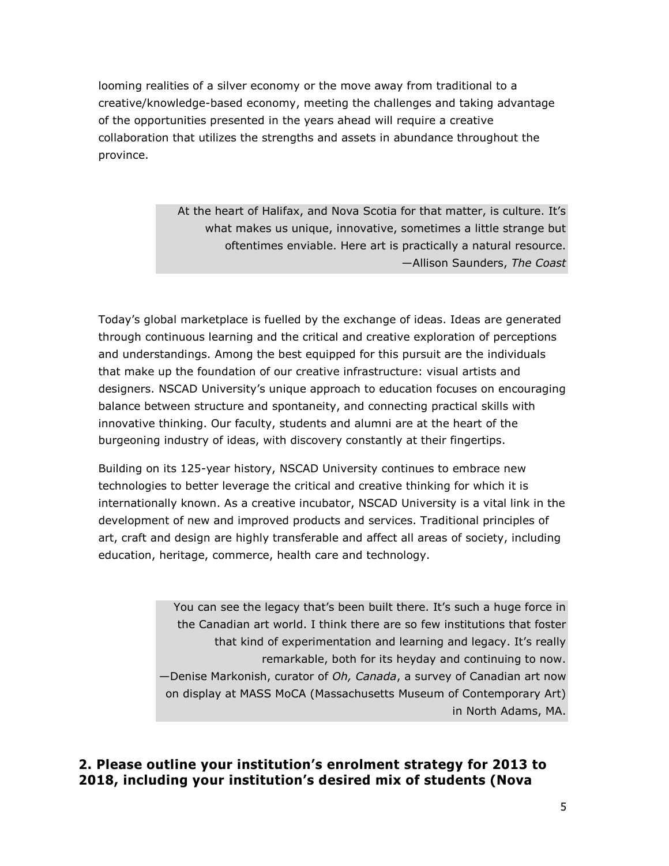looming realities of a silver economy or the move away from traditional to a creative/knowledge-based economy, meeting the challenges and taking advantage of the opportunities presented in the years ahead will require a creative collaboration that utilizes the strengths and assets in abundance throughout the province.

> At the heart of Halifax, and Nova Scotia for that matter, is culture. It's what makes us unique, innovative, sometimes a little strange but oftentimes enviable. Here art is practically a natural resource. —Allison Saunders, *The Coast*

Today's global marketplace is fuelled by the exchange of ideas. Ideas are generated through continuous learning and the critical and creative exploration of perceptions and understandings. Among the best equipped for this pursuit are the individuals that make up the foundation of our creative infrastructure: visual artists and designers. NSCAD University's unique approach to education focuses on encouraging balance between structure and spontaneity, and connecting practical skills with innovative thinking. Our faculty, students and alumni are at the heart of the burgeoning industry of ideas, with discovery constantly at their fingertips.

Building on its 125-year history, NSCAD University continues to embrace new technologies to better leverage the critical and creative thinking for which it is internationally known. As a creative incubator, NSCAD University is a vital link in the development of new and improved products and services. Traditional principles of art, craft and design are highly transferable and affect all areas of society, including education, heritage, commerce, health care and technology.

> You can see the legacy that's been built there. It's such a huge force in the Canadian art world. I think there are so few institutions that foster that kind of experimentation and learning and legacy. It's really remarkable, both for its heyday and continuing to now. —Denise Markonish, curator of *Oh, Canada*, a survey of Canadian art now on display at MASS MoCA (Massachusetts Museum of Contemporary Art) in North Adams, MA.

**2. Please outline your institution's enrolment strategy for 2013 to 2018, including your institution's desired mix of students (Nova**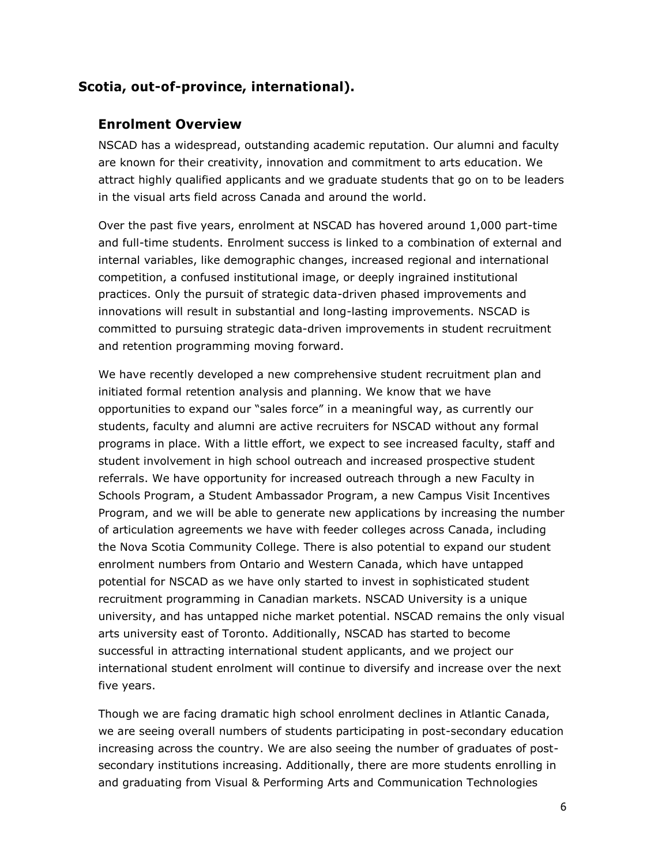# **Scotia, out-of-province, international).**

#### **Enrolment Overview**

NSCAD has a widespread, outstanding academic reputation. Our alumni and faculty are known for their creativity, innovation and commitment to arts education. We attract highly qualified applicants and we graduate students that go on to be leaders in the visual arts field across Canada and around the world.

Over the past five years, enrolment at NSCAD has hovered around 1,000 part-time and full-time students. Enrolment success is linked to a combination of external and internal variables, like demographic changes, increased regional and international competition, a confused institutional image, or deeply ingrained institutional practices. Only the pursuit of strategic data-driven phased improvements and innovations will result in substantial and long-lasting improvements. NSCAD is committed to pursuing strategic data-driven improvements in student recruitment and retention programming moving forward.

We have recently developed a new comprehensive student recruitment plan and initiated formal retention analysis and planning. We know that we have opportunities to expand our "sales force" in a meaningful way, as currently our students, faculty and alumni are active recruiters for NSCAD without any formal programs in place. With a little effort, we expect to see increased faculty, staff and student involvement in high school outreach and increased prospective student referrals. We have opportunity for increased outreach through a new Faculty in Schools Program, a Student Ambassador Program, a new Campus Visit Incentives Program, and we will be able to generate new applications by increasing the number of articulation agreements we have with feeder colleges across Canada, including the Nova Scotia Community College. There is also potential to expand our student enrolment numbers from Ontario and Western Canada, which have untapped potential for NSCAD as we have only started to invest in sophisticated student recruitment programming in Canadian markets. NSCAD University is a unique university, and has untapped niche market potential. NSCAD remains the only visual arts university east of Toronto. Additionally, NSCAD has started to become successful in attracting international student applicants, and we project our international student enrolment will continue to diversify and increase over the next five years.

Though we are facing dramatic high school enrolment declines in Atlantic Canada, we are seeing overall numbers of students participating in post-secondary education increasing across the country. We are also seeing the number of graduates of postsecondary institutions increasing. Additionally, there are more students enrolling in and graduating from Visual & Performing Arts and Communication Technologies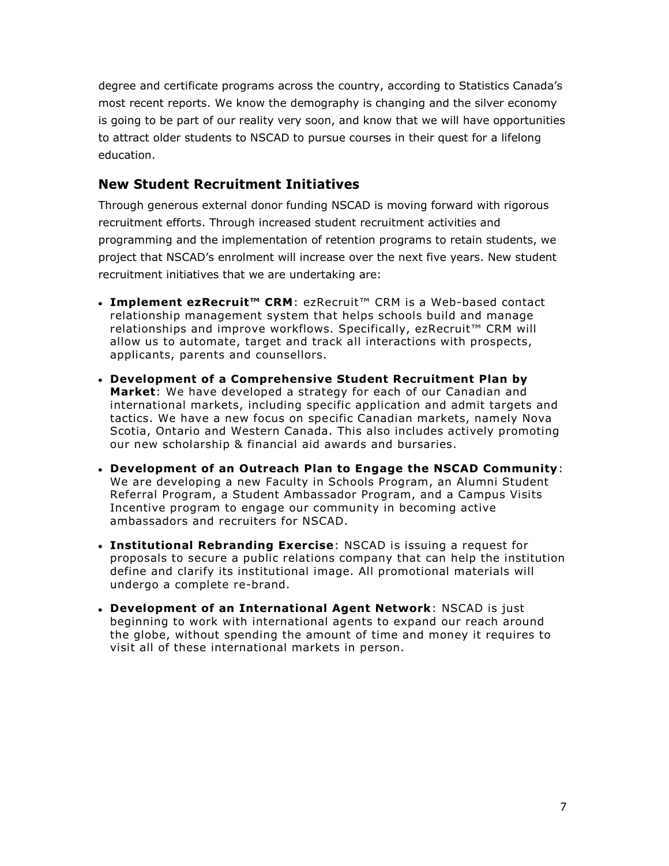degree and certificate programs across the country, according to Statistics Canada's most recent reports. We know the demography is changing and the silver economy is going to be part of our reality very soon, and know that we will have opportunities to attract older students to NSCAD to pursue courses in their quest for a lifelong education.

# **New Student Recruitment Initiatives**

Through generous external donor funding NSCAD is moving forward with rigorous recruitment efforts. Through increased student recruitment activities and programming and the implementation of retention programs to retain students, we project that NSCAD's enrolment will increase over the next five years. New student recruitment initiatives that we are undertaking are:

- **Implement ezRecruit™ CRM**: ezRecruit™ CRM is a Web-based contact relationship management system that helps schools build and manage relationships and improve workflows. Specifically, ezRecruit™ CRM will allow us to automate, target and track all interactions with prospects, applicants, parents and counsellors.
- **Development of a Comprehensive Student Recruitment Plan by Market**: We have developed a strategy for each of our Canadian and international markets, including specific application and admit targets and tactics. We have a new focus on specific Canadian markets, namely Nova Scotia, Ontario and Western Canada. This also includes actively promoting our new scholarship & financial aid awards and bursaries.
- **Development of an Outreach Plan to Engage the NSCAD Community**: We are developing a new Faculty in Schools Program, an Alumni Student Referral Program, a Student Ambassador Program, and a Campus Visits Incentive program to engage our community in becoming active ambassadors and recruiters for NSCAD.
- **Institutional Rebranding Exercise**: NSCAD is issuing a request for proposals to secure a public relations company that can help the institution define and clarify its institutional image. All promotional materials will undergo a complete re-brand.
- **Development of an International Agent Network**: NSCAD is just beginning to work with international agents to expand our reach around the globe, without spending the amount of time and money it requires to visit all of these international markets in person.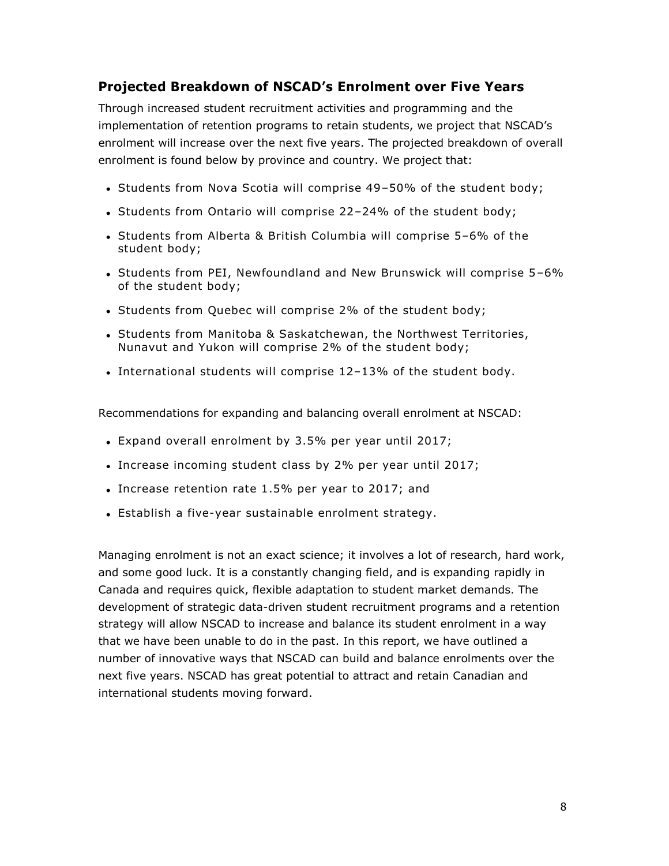# **Projected Breakdown of NSCAD's Enrolment over Five Years**

Through increased student recruitment activities and programming and the implementation of retention programs to retain students, we project that NSCAD's enrolment will increase over the next five years. The projected breakdown of overall enrolment is found below by province and country. We project that:

- Students from Nova Scotia will comprise 49-50% of the student body;
- Students from Ontario will comprise 22-24% of the student body;
- Students from Alberta & British Columbia will comprise 5-6% of the student body;
- Students from PEI, Newfoundland and New Brunswick will comprise 5-6% of the student body;
- Students from Quebec will comprise 2% of the student body;
- Students from Manitoba & Saskatchewan, the Northwest Territories, Nunavut and Yukon will comprise 2% of the student body;
- International students will comprise 12–13% of the student body.

Recommendations for expanding and balancing overall enrolment at NSCAD:

- Expand overall enrolment by 3.5% per year until 2017;
- Increase incoming student class by 2% per year until 2017;
- Increase retention rate 1.5% per year to 2017; and
- Establish a five-year sustainable enrolment strategy.

Managing enrolment is not an exact science; it involves a lot of research, hard work, and some good luck. It is a constantly changing field, and is expanding rapidly in Canada and requires quick, flexible adaptation to student market demands. The development of strategic data-driven student recruitment programs and a retention strategy will allow NSCAD to increase and balance its student enrolment in a way that we have been unable to do in the past. In this report, we have outlined a number of innovative ways that NSCAD can build and balance enrolments over the next five years. NSCAD has great potential to attract and retain Canadian and international students moving forward.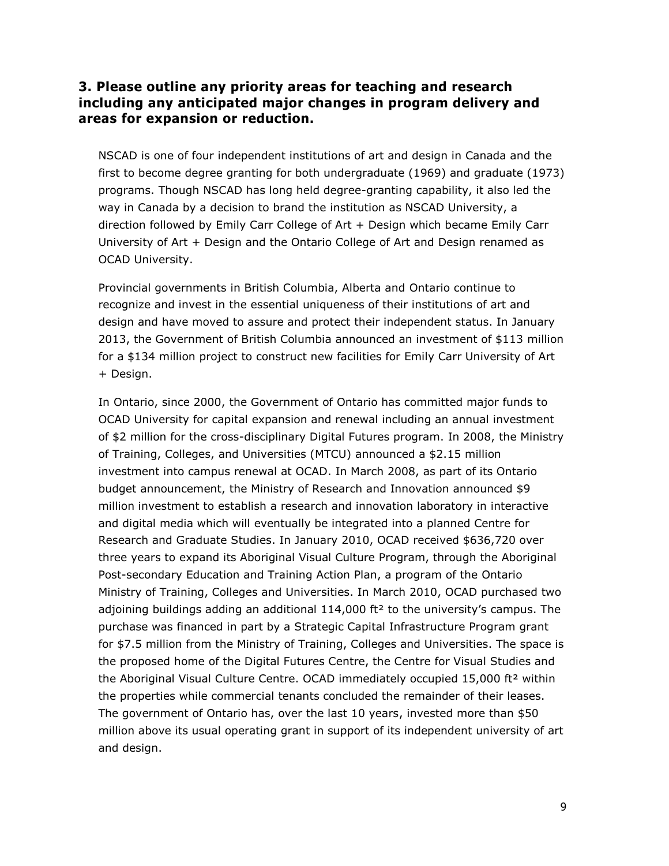#### **3. Please outline any priority areas for teaching and research including any anticipated major changes in program delivery and areas for expansion or reduction.**

NSCAD is one of four independent institutions of art and design in Canada and the first to become degree granting for both undergraduate (1969) and graduate (1973) programs. Though NSCAD has long held degree-granting capability, it also led the way in Canada by a decision to brand the institution as NSCAD University, a direction followed by Emily Carr College of Art + Design which became Emily Carr University of Art + Design and the Ontario College of Art and Design renamed as OCAD University.

Provincial governments in British Columbia, Alberta and Ontario continue to recognize and invest in the essential uniqueness of their institutions of art and design and have moved to assure and protect their independent status. In January 2013, the Government of British Columbia announced an investment of \$113 million for a \$134 million project to construct new facilities for Emily Carr University of Art + Design.

In Ontario, since 2000, the Government of Ontario has committed major funds to OCAD University for capital expansion and renewal including an annual investment of \$2 million for the cross-disciplinary Digital Futures program. In 2008, the Ministry of Training, Colleges, and Universities (MTCU) announced a \$2.15 million investment into campus renewal at OCAD. In March 2008, as part of its Ontario budget announcement, the Ministry of Research and Innovation announced \$9 million investment to establish a research and innovation laboratory in interactive and digital media which will eventually be integrated into a planned Centre for Research and Graduate Studies. In January 2010, OCAD received \$636,720 over three years to expand its Aboriginal Visual Culture Program, through the Aboriginal Post-secondary Education and Training Action Plan, a program of the Ontario Ministry of Training, Colleges and Universities. In March 2010, OCAD purchased two adjoining buildings adding an additional  $114,000$  ft<sup>2</sup> to the university's campus. The purchase was financed in part by a Strategic Capital Infrastructure Program grant for \$7.5 million from the Ministry of Training, Colleges and Universities. The space is the proposed home of the Digital Futures Centre, the Centre for Visual Studies and the Aboriginal Visual Culture Centre. OCAD immediately occupied 15,000 ft<sup>2</sup> within the properties while commercial tenants concluded the remainder of their leases. The government of Ontario has, over the last 10 years, invested more than \$50 million above its usual operating grant in support of its independent university of art and design.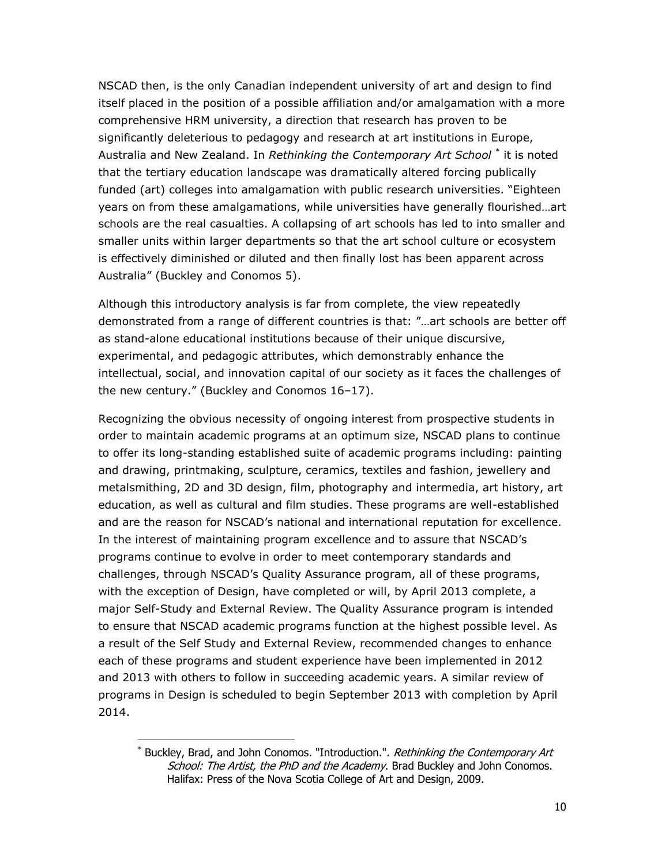NSCAD then, is the only Canadian independent university of art and design to find itself placed in the position of a possible affiliation and/or amalgamation with a more comprehensive HRM university, a direction that research has proven to be significantly deleterious to pedagogy and research at art institutions in Europe, Australia and New Zealand. In *Rethinking the Contemporary Art School* \* it is noted that the tertiary education landscape was dramatically altered forcing publically funded (art) colleges into amalgamation with public research universities. "Eighteen years on from these amalgamations, while universities have generally flourished…art schools are the real casualties. A collapsing of art schools has led to into smaller and smaller units within larger departments so that the art school culture or ecosystem is effectively diminished or diluted and then finally lost has been apparent across Australia" (Buckley and Conomos 5).

Although this introductory analysis is far from complete, the view repeatedly demonstrated from a range of different countries is that: "…art schools are better off as stand-alone educational institutions because of their unique discursive, experimental, and pedagogic attributes, which demonstrably enhance the intellectual, social, and innovation capital of our society as it faces the challenges of the new century." (Buckley and Conomos 16–17).

Recognizing the obvious necessity of ongoing interest from prospective students in order to maintain academic programs at an optimum size, NSCAD plans to continue to offer its long-standing established suite of academic programs including: painting and drawing, printmaking, sculpture, ceramics, textiles and fashion, jewellery and metalsmithing, 2D and 3D design, film, photography and intermedia, art history, art education, as well as cultural and film studies. These programs are well-established and are the reason for NSCAD's national and international reputation for excellence. In the interest of maintaining program excellence and to assure that NSCAD's programs continue to evolve in order to meet contemporary standards and challenges, through NSCAD's Quality Assurance program, all of these programs, with the exception of Design, have completed or will, by April 2013 complete, a major Self-Study and External Review. The Quality Assurance program is intended to ensure that NSCAD academic programs function at the highest possible level. As a result of the Self Study and External Review, recommended changes to enhance each of these programs and student experience have been implemented in 2012 and 2013 with others to follow in succeeding academic years. A similar review of programs in Design is scheduled to begin September 2013 with completion by April 2014.

<sup>\*</sup> Buckley, Brad, and John Conomos. "Introduction.". Rethinking the Contemporary Art School: The Artist, the PhD and the Academy. Brad Buckley and John Conomos. Halifax: Press of the Nova Scotia College of Art and Design, 2009.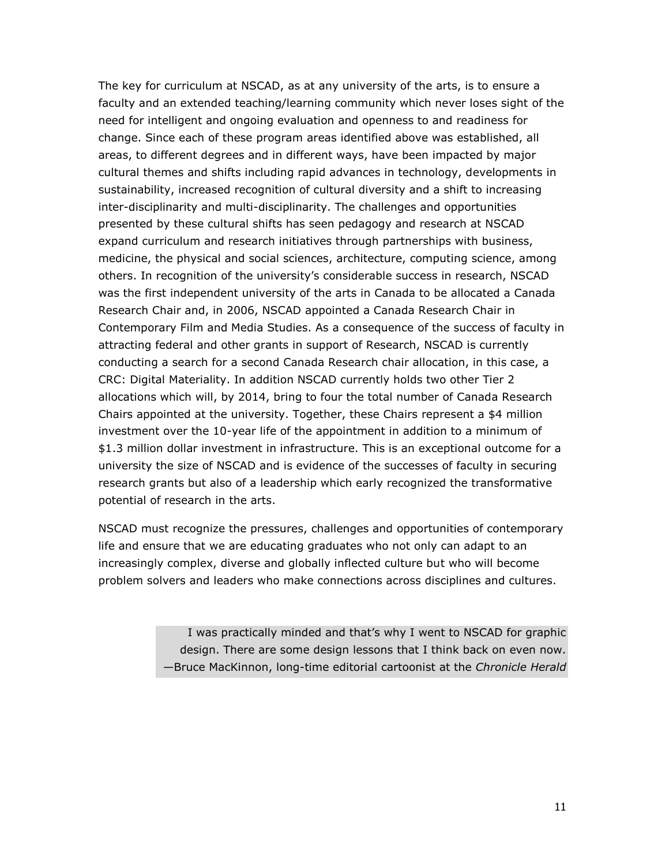The key for curriculum at NSCAD, as at any university of the arts, is to ensure a faculty and an extended teaching/learning community which never loses sight of the need for intelligent and ongoing evaluation and openness to and readiness for change. Since each of these program areas identified above was established, all areas, to different degrees and in different ways, have been impacted by major cultural themes and shifts including rapid advances in technology, developments in sustainability, increased recognition of cultural diversity and a shift to increasing inter-disciplinarity and multi-disciplinarity. The challenges and opportunities presented by these cultural shifts has seen pedagogy and research at NSCAD expand curriculum and research initiatives through partnerships with business, medicine, the physical and social sciences, architecture, computing science, among others. In recognition of the university's considerable success in research, NSCAD was the first independent university of the arts in Canada to be allocated a Canada Research Chair and, in 2006, NSCAD appointed a Canada Research Chair in Contemporary Film and Media Studies. As a consequence of the success of faculty in attracting federal and other grants in support of Research, NSCAD is currently conducting a search for a second Canada Research chair allocation, in this case, a CRC: Digital Materiality. In addition NSCAD currently holds two other Tier 2 allocations which will, by 2014, bring to four the total number of Canada Research Chairs appointed at the university. Together, these Chairs represent a \$4 million investment over the 10-year life of the appointment in addition to a minimum of \$1.3 million dollar investment in infrastructure. This is an exceptional outcome for a university the size of NSCAD and is evidence of the successes of faculty in securing research grants but also of a leadership which early recognized the transformative potential of research in the arts.

NSCAD must recognize the pressures, challenges and opportunities of contemporary life and ensure that we are educating graduates who not only can adapt to an increasingly complex, diverse and globally inflected culture but who will become problem solvers and leaders who make connections across disciplines and cultures.

> I was practically minded and that's why I went to NSCAD for graphic design. There are some design lessons that I think back on even now. —Bruce MacKinnon, long-time editorial cartoonist at the *Chronicle Herald*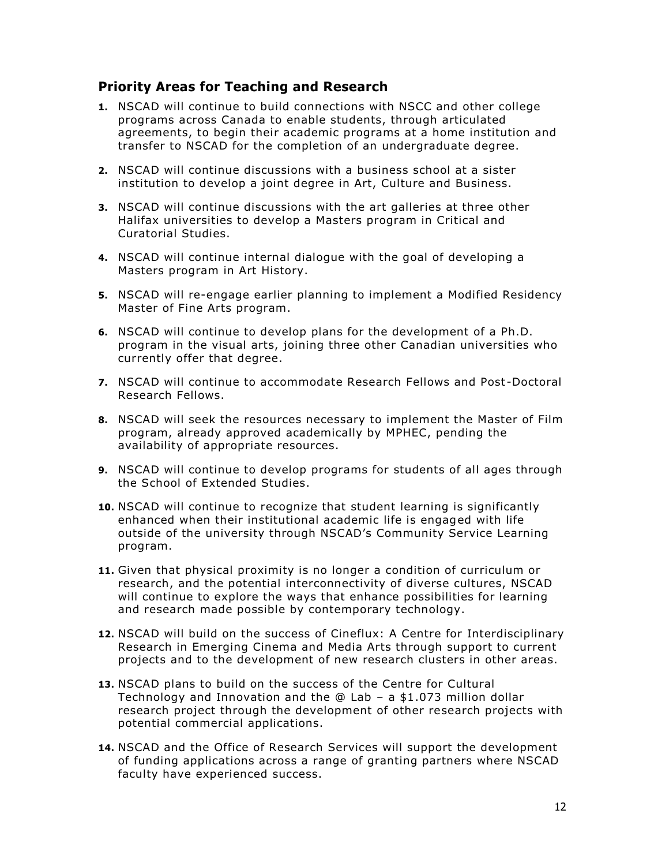#### **Priority Areas for Teaching and Research**

- **1.** NSCAD will continue to build connections with NSCC and other college programs across Canada to enable students, through articulated agreements, to begin their academic programs at a home institution and transfer to NSCAD for the completion of an undergraduate degree.
- **2.** NSCAD will continue discussions with a business school at a sister institution to develop a joint degree in Art, Culture and Business.
- **3.** NSCAD will continue discussions with the art galleries at three other Halifax universities to develop a Masters program in Critical and Curatorial Studies.
- **4.** NSCAD will continue internal dialogue with the goal of developing a Masters program in Art History.
- **5.** NSCAD will re-engage earlier planning to implement a Modified Residency Master of Fine Arts program.
- **6.** NSCAD will continue to develop plans for the development of a Ph.D. program in the visual arts, joining three other Canadian universities who currently offer that degree.
- **7.** NSCAD will continue to accommodate Research Fellows and Post -Doctoral Research Fellows.
- **8.** NSCAD will seek the resources necessary to implement the Master of Film program, already approved academically by MPHEC, pending the availability of appropriate resources.
- **9.** NSCAD will continue to develop programs for students of all ages through the School of Extended Studies.
- **10.** NSCAD will continue to recognize that student learning is significantly enhanced when their institutional academic life is engaged with life outside of the university through NSCAD's Community Service Learning program.
- **11.** Given that physical proximity is no longer a condition of curriculum or research, and the potential interconnectivity of diverse cultures, NSCAD will continue to explore the ways that enhance possibilities for learning and research made possible by contemporary technology.
- **12.** NSCAD will build on the success of Cineflux: A Centre for Interdisciplinary Research in Emerging Cinema and Media Arts through support to current projects and to the development of new research clusters in other areas.
- **13.** NSCAD plans to build on the success of the Centre for Cultural Technology and Innovation and the @ Lab – a \$1.073 million dollar research project through the development of other research projects with potential commercial applications.
- **14.** NSCAD and the Office of Research Services will support the development of funding applications across a range of granting partners where NSCAD faculty have experienced success.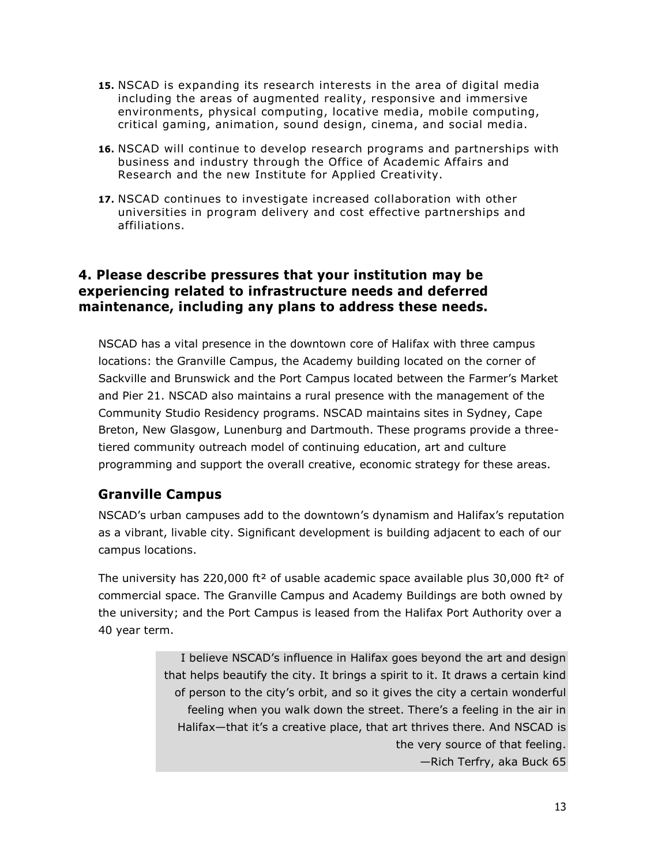- **15.** NSCAD is expanding its research interests in the area of digital media including the areas of augmented reality, responsive and immersive environments, physical computing, locative media, mobile computing, critical gaming, animation, sound design, cinema, and social media.
- **16.** NSCAD will continue to develop research programs and partnerships with business and industry through the Office of Academic Affairs and Research and the new Institute for Applied Creativity.
- **17.** NSCAD continues to investigate increased collaboration with other universities in program delivery and cost effective partnerships and affiliations.

# **4. Please describe pressures that your institution may be experiencing related to infrastructure needs and deferred maintenance, including any plans to address these needs.**

NSCAD has a vital presence in the downtown core of Halifax with three campus locations: the Granville Campus, the Academy building located on the corner of Sackville and Brunswick and the Port Campus located between the Farmer's Market and Pier 21. NSCAD also maintains a rural presence with the management of the Community Studio Residency programs. NSCAD maintains sites in Sydney, Cape Breton, New Glasgow, Lunenburg and Dartmouth. These programs provide a threetiered community outreach model of continuing education, art and culture programming and support the overall creative, economic strategy for these areas.

# **Granville Campus**

NSCAD's urban campuses add to the downtown's dynamism and Halifax's reputation as a vibrant, livable city. Significant development is building adjacent to each of our campus locations.

The university has 220,000 ft<sup>2</sup> of usable academic space available plus 30,000 ft<sup>2</sup> of commercial space. The Granville Campus and Academy Buildings are both owned by the university; and the Port Campus is leased from the Halifax Port Authority over a 40 year term.

> I believe NSCAD's influence in Halifax goes beyond the art and design that helps beautify the city. It brings a spirit to it. It draws a certain kind of person to the city's orbit, and so it gives the city a certain wonderful feeling when you walk down the street. There's a feeling in the air in Halifax—that it's a creative place, that art thrives there. And NSCAD is the very source of that feeling. —Rich Terfry, aka Buck 65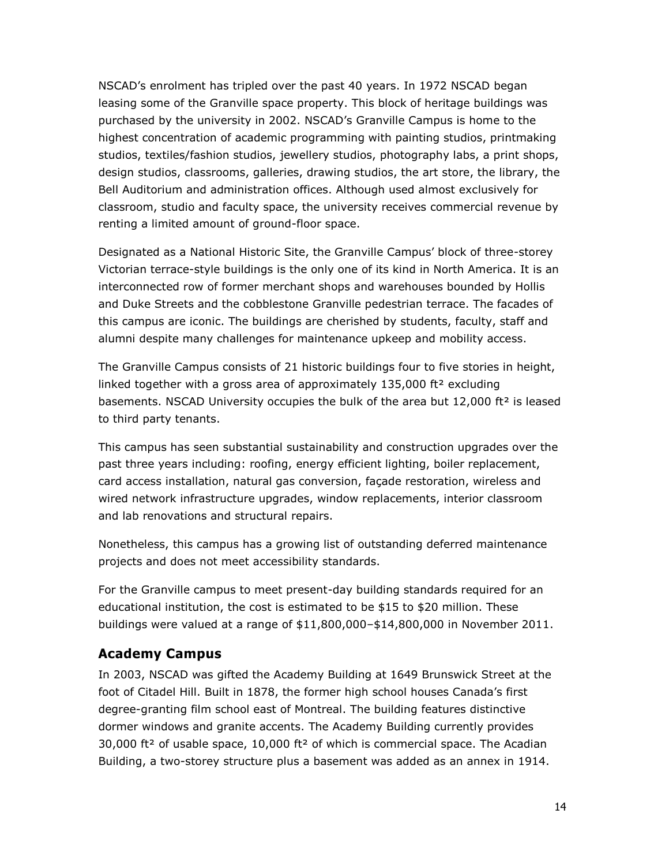NSCAD's enrolment has tripled over the past 40 years. In 1972 NSCAD began leasing some of the Granville space property. This block of heritage buildings was purchased by the university in 2002. NSCAD's Granville Campus is home to the highest concentration of academic programming with painting studios, printmaking studios, textiles/fashion studios, jewellery studios, photography labs, a print shops, design studios, classrooms, galleries, drawing studios, the art store, the library, the Bell Auditorium and administration offices. Although used almost exclusively for classroom, studio and faculty space, the university receives commercial revenue by renting a limited amount of ground-floor space.

Designated as a National Historic Site, the Granville Campus' block of three-storey Victorian terrace-style buildings is the only one of its kind in North America. It is an interconnected row of former merchant shops and warehouses bounded by Hollis and Duke Streets and the cobblestone Granville pedestrian terrace. The facades of this campus are iconic. The buildings are cherished by students, faculty, staff and alumni despite many challenges for maintenance upkeep and mobility access.

The Granville Campus consists of 21 historic buildings four to five stories in height, linked together with a gross area of approximately  $135,000$  ft<sup>2</sup> excluding basements. NSCAD University occupies the bulk of the area but 12,000 ft² is leased to third party tenants.

This campus has seen substantial sustainability and construction upgrades over the past three years including: roofing, energy efficient lighting, boiler replacement, card access installation, natural gas conversion, façade restoration, wireless and wired network infrastructure upgrades, window replacements, interior classroom and lab renovations and structural repairs.

Nonetheless, this campus has a growing list of outstanding deferred maintenance projects and does not meet accessibility standards.

For the Granville campus to meet present-day building standards required for an educational institution, the cost is estimated to be \$15 to \$20 million. These buildings were valued at a range of \$11,800,000–\$14,800,000 in November 2011.

# **Academy Campus**

In 2003, NSCAD was gifted the Academy Building at 1649 Brunswick Street at the foot of Citadel Hill. Built in 1878, the former high school houses Canada's first degree-granting film school east of Montreal. The building features distinctive dormer windows and granite accents. The Academy Building currently provides  $30,000$  ft<sup>2</sup> of usable space, 10,000 ft<sup>2</sup> of which is commercial space. The Acadian Building, a two-storey structure plus a basement was added as an annex in 1914.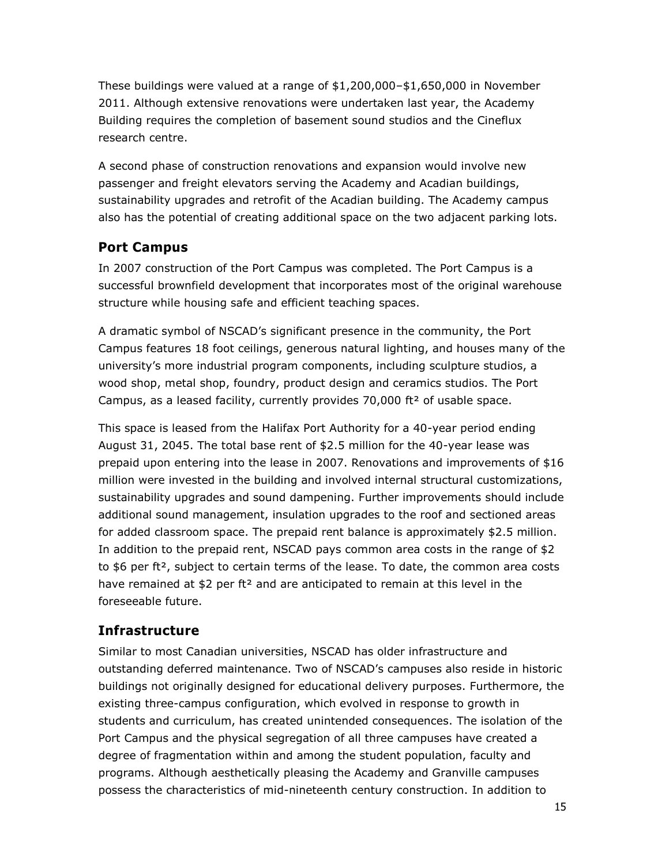These buildings were valued at a range of \$1,200,000–\$1,650,000 in November 2011. Although extensive renovations were undertaken last year, the Academy Building requires the completion of basement sound studios and the Cineflux research centre.

A second phase of construction renovations and expansion would involve new passenger and freight elevators serving the Academy and Acadian buildings, sustainability upgrades and retrofit of the Acadian building. The Academy campus also has the potential of creating additional space on the two adjacent parking lots.

# **Port Campus**

In 2007 construction of the Port Campus was completed. The Port Campus is a successful brownfield development that incorporates most of the original warehouse structure while housing safe and efficient teaching spaces.

A dramatic symbol of NSCAD's significant presence in the community, the Port Campus features 18 foot ceilings, generous natural lighting, and houses many of the university's more industrial program components, including sculpture studios, a wood shop, metal shop, foundry, product design and ceramics studios. The Port Campus, as a leased facility, currently provides  $70,000$  ft<sup>2</sup> of usable space.

This space is leased from the Halifax Port Authority for a 40-year period ending August 31, 2045. The total base rent of \$2.5 million for the 40-year lease was prepaid upon entering into the lease in 2007. Renovations and improvements of \$16 million were invested in the building and involved internal structural customizations, sustainability upgrades and sound dampening. Further improvements should include additional sound management, insulation upgrades to the roof and sectioned areas for added classroom space. The prepaid rent balance is approximately \$2.5 million. In addition to the prepaid rent, NSCAD pays common area costs in the range of \$2 to  $$6$  per ft<sup>2</sup>, subject to certain terms of the lease. To date, the common area costs have remained at \$2 per ft<sup>2</sup> and are anticipated to remain at this level in the foreseeable future.

# **Infrastructure**

Similar to most Canadian universities, NSCAD has older infrastructure and outstanding deferred maintenance. Two of NSCAD's campuses also reside in historic buildings not originally designed for educational delivery purposes. Furthermore, the existing three-campus configuration, which evolved in response to growth in students and curriculum, has created unintended consequences. The isolation of the Port Campus and the physical segregation of all three campuses have created a degree of fragmentation within and among the student population, faculty and programs. Although aesthetically pleasing the Academy and Granville campuses possess the characteristics of mid-nineteenth century construction. In addition to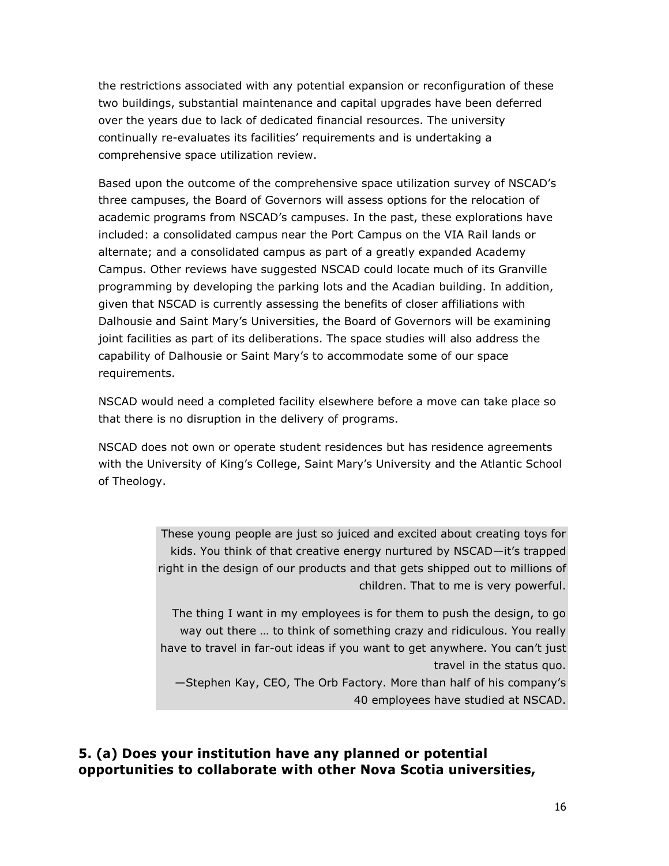the restrictions associated with any potential expansion or reconfiguration of these two buildings, substantial maintenance and capital upgrades have been deferred over the years due to lack of dedicated financial resources. The university continually re-evaluates its facilities' requirements and is undertaking a comprehensive space utilization review.

Based upon the outcome of the comprehensive space utilization survey of NSCAD's three campuses, the Board of Governors will assess options for the relocation of academic programs from NSCAD's campuses. In the past, these explorations have included: a consolidated campus near the Port Campus on the VIA Rail lands or alternate; and a consolidated campus as part of a greatly expanded Academy Campus. Other reviews have suggested NSCAD could locate much of its Granville programming by developing the parking lots and the Acadian building. In addition, given that NSCAD is currently assessing the benefits of closer affiliations with Dalhousie and Saint Mary's Universities, the Board of Governors will be examining joint facilities as part of its deliberations. The space studies will also address the capability of Dalhousie or Saint Mary's to accommodate some of our space requirements.

NSCAD would need a completed facility elsewhere before a move can take place so that there is no disruption in the delivery of programs.

NSCAD does not own or operate student residences but has residence agreements with the University of King's College, Saint Mary's University and the Atlantic School of Theology.

> These young people are just so juiced and excited about creating toys for kids. You think of that creative energy nurtured by NSCAD—it's trapped right in the design of our products and that gets shipped out to millions of children. That to me is very powerful.

> The thing I want in my employees is for them to push the design, to go way out there … to think of something crazy and ridiculous. You really have to travel in far-out ideas if you want to get anywhere. You can't just travel in the status quo.

—Stephen Kay, CEO, The Orb Factory. More than half of his company's 40 employees have studied at NSCAD.

#### **5. (a) Does your institution have any planned or potential opportunities to collaborate with other Nova Scotia universities,**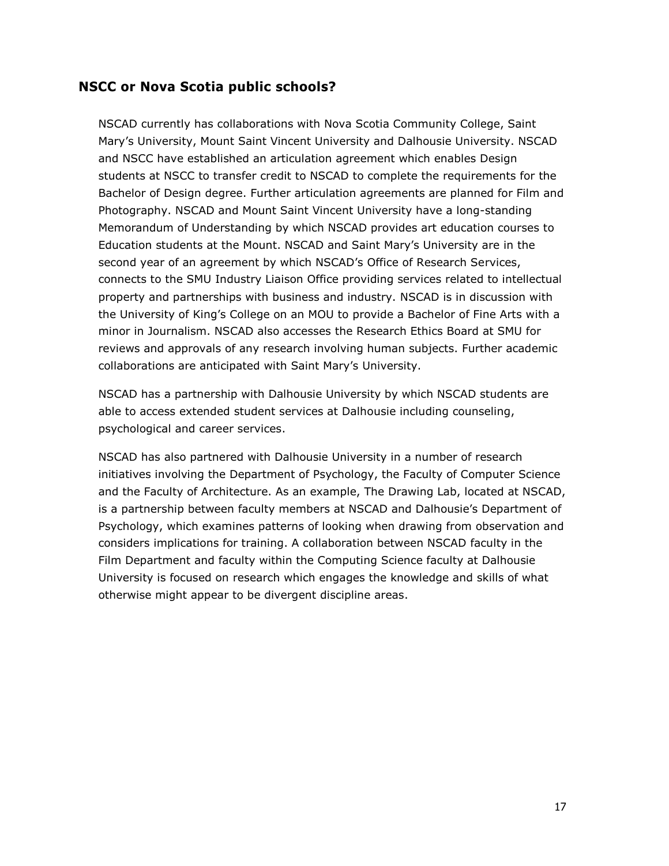#### **NSCC or Nova Scotia public schools?**

NSCAD currently has collaborations with Nova Scotia Community College, Saint Mary's University, Mount Saint Vincent University and Dalhousie University. NSCAD and NSCC have established an articulation agreement which enables Design students at NSCC to transfer credit to NSCAD to complete the requirements for the Bachelor of Design degree. Further articulation agreements are planned for Film and Photography. NSCAD and Mount Saint Vincent University have a long-standing Memorandum of Understanding by which NSCAD provides art education courses to Education students at the Mount. NSCAD and Saint Mary's University are in the second year of an agreement by which NSCAD's Office of Research Services, connects to the SMU Industry Liaison Office providing services related to intellectual property and partnerships with business and industry. NSCAD is in discussion with the University of King's College on an MOU to provide a Bachelor of Fine Arts with a minor in Journalism. NSCAD also accesses the Research Ethics Board at SMU for reviews and approvals of any research involving human subjects. Further academic collaborations are anticipated with Saint Mary's University.

NSCAD has a partnership with Dalhousie University by which NSCAD students are able to access extended student services at Dalhousie including counseling, psychological and career services.

NSCAD has also partnered with Dalhousie University in a number of research initiatives involving the Department of Psychology, the Faculty of Computer Science and the Faculty of Architecture. As an example, The Drawing Lab, located at NSCAD, is a partnership between faculty members at NSCAD and Dalhousie's Department of Psychology, which examines patterns of looking when drawing from observation and considers implications for training. A collaboration between NSCAD faculty in the Film Department and faculty within the Computing Science faculty at Dalhousie University is focused on research which engages the knowledge and skills of what otherwise might appear to be divergent discipline areas.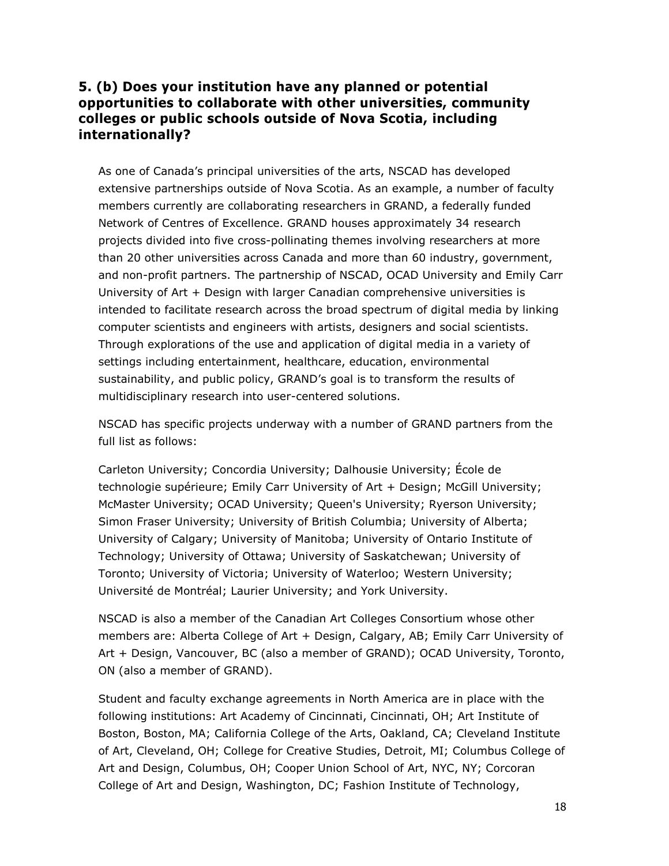## **5. (b) Does your institution have any planned or potential opportunities to collaborate with other universities, community colleges or public schools outside of Nova Scotia, including internationally?**

As one of Canada's principal universities of the arts, NSCAD has developed extensive partnerships outside of Nova Scotia. As an example, a number of faculty members currently are collaborating researchers in GRAND, a federally funded Network of Centres of Excellence. GRAND houses approximately 34 research projects divided into five cross-pollinating themes involving researchers at more than 20 other universities across Canada and more than 60 industry, government, and non-profit partners. The partnership of NSCAD, OCAD University and Emily Carr University of Art + Design with larger Canadian comprehensive universities is intended to facilitate research across the broad spectrum of digital media by linking computer scientists and engineers with artists, designers and social scientists. Through explorations of the use and application of digital media in a variety of settings including entertainment, healthcare, education, environmental sustainability, and public policy, GRAND's goal is to transform the results of multidisciplinary research into user-centered solutions.

NSCAD has specific projects underway with a number of GRAND partners from the full list as follows:

Carleton University; Concordia University; Dalhousie University; École de technologie supérieure; Emily Carr University of Art + Design; McGill University; McMaster University; OCAD University; Queen's University; Ryerson University; Simon Fraser University; University of British Columbia; University of Alberta; University of Calgary; University of Manitoba; University of Ontario Institute of Technology; University of Ottawa; University of Saskatchewan; University of Toronto; University of Victoria; University of Waterloo; Western University; Université de Montréal; Laurier University; and York University.

NSCAD is also a member of the Canadian Art Colleges Consortium whose other members are: Alberta College of Art + Design, Calgary, AB; Emily Carr University of Art + Design, Vancouver, BC (also a member of GRAND); OCAD University, Toronto, ON (also a member of GRAND).

Student and faculty exchange agreements in North America are in place with the following institutions: Art Academy of Cincinnati, Cincinnati, OH; Art Institute of Boston, Boston, MA; California College of the Arts, Oakland, CA; Cleveland Institute of Art, Cleveland, OH; College for Creative Studies, Detroit, MI; Columbus College of Art and Design, Columbus, OH; Cooper Union School of Art, NYC, NY; Corcoran College of Art and Design, Washington, DC; Fashion Institute of Technology,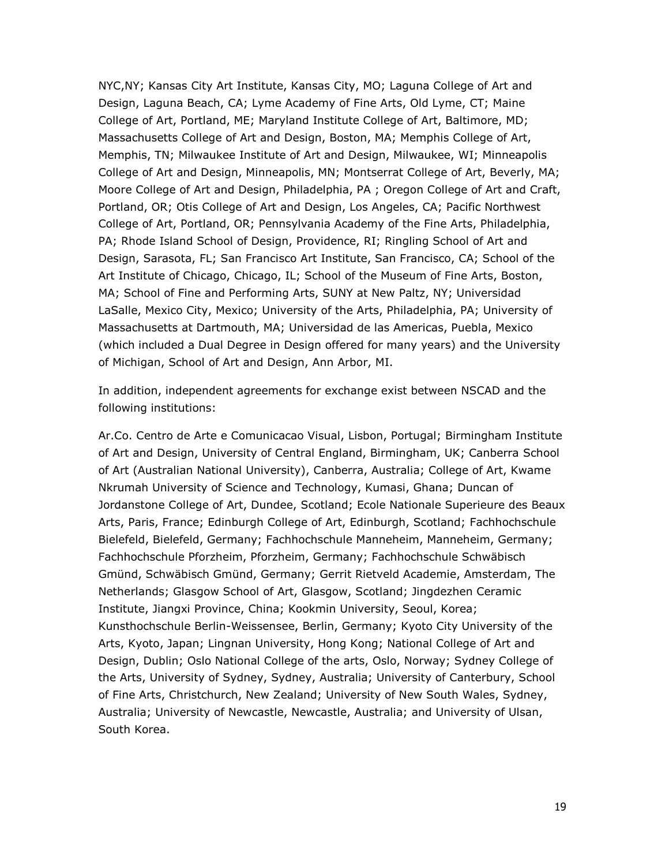NYC,NY; Kansas City Art Institute, Kansas City, MO; Laguna College of Art and Design, Laguna Beach, CA; Lyme Academy of Fine Arts, Old Lyme, CT; Maine College of Art, Portland, ME; Maryland Institute College of Art, Baltimore, MD; Massachusetts College of Art and Design, Boston, MA; Memphis College of Art, Memphis, TN; Milwaukee Institute of Art and Design, Milwaukee, WI; Minneapolis College of Art and Design, Minneapolis, MN; Montserrat College of Art, Beverly, MA; Moore College of Art and Design, Philadelphia, PA ; Oregon College of Art and Craft, Portland, OR; Otis College of Art and Design, Los Angeles, CA; Pacific Northwest College of Art, Portland, OR; Pennsylvania Academy of the Fine Arts, Philadelphia, PA; Rhode Island School of Design, Providence, RI; Ringling School of Art and Design, Sarasota, FL; San Francisco Art Institute, San Francisco, CA; School of the Art Institute of Chicago, Chicago, IL; School of the Museum of Fine Arts, Boston, MA; School of Fine and Performing Arts, SUNY at New Paltz, NY; Universidad LaSalle, Mexico City, Mexico; University of the Arts, Philadelphia, PA; University of Massachusetts at Dartmouth, MA; Universidad de las Americas, Puebla, Mexico (which included a Dual Degree in Design offered for many years) and the University of Michigan, School of Art and Design, Ann Arbor, MI.

In addition, independent agreements for exchange exist between NSCAD and the following institutions:

Ar.Co. Centro de Arte e Comunicacao Visual, Lisbon, Portugal; Birmingham Institute of Art and Design, University of Central England, Birmingham, UK; Canberra School of Art (Australian National University), Canberra, Australia; College of Art, Kwame Nkrumah University of Science and Technology, Kumasi, Ghana; Duncan of Jordanstone College of Art, Dundee, Scotland; Ecole Nationale Superieure des Beaux Arts, Paris, France; Edinburgh College of Art, Edinburgh, Scotland; Fachhochschule Bielefeld, Bielefeld, Germany; Fachhochschule Manneheim, Manneheim, Germany; Fachhochschule Pforzheim, Pforzheim, Germany; Fachhochschule Schwäbisch Gmünd, Schwäbisch Gmünd, Germany; Gerrit Rietveld Academie, Amsterdam, The Netherlands; Glasgow School of Art, Glasgow, Scotland; Jingdezhen Ceramic Institute, Jiangxi Province, China; Kookmin University, Seoul, Korea; Kunsthochschule Berlin-Weissensee, Berlin, Germany; Kyoto City University of the Arts, Kyoto, Japan; Lingnan University, Hong Kong; National College of Art and Design, Dublin; Oslo National College of the arts, Oslo, Norway; Sydney College of the Arts, University of Sydney, Sydney, Australia; University of Canterbury, School of Fine Arts, Christchurch, New Zealand; University of New South Wales, Sydney, Australia; University of Newcastle, Newcastle, Australia; and University of Ulsan, South Korea.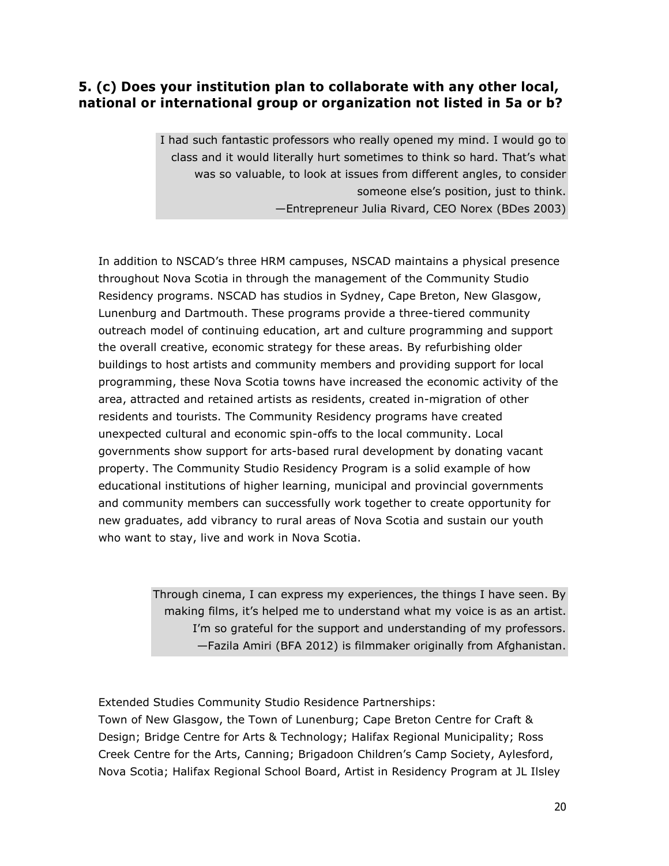# **5. (c) Does your institution plan to collaborate with any other local, national or international group or organization not listed in 5a or b?**

I had such fantastic professors who really opened my mind. I would go to class and it would literally hurt sometimes to think so hard. That's what was so valuable, to look at issues from different angles, to consider someone else's position, just to think. —Entrepreneur Julia Rivard, CEO Norex (BDes 2003)

In addition to NSCAD's three HRM campuses, NSCAD maintains a physical presence throughout Nova Scotia in through the management of the Community Studio Residency programs. NSCAD has studios in Sydney, Cape Breton, New Glasgow, Lunenburg and Dartmouth. These programs provide a three-tiered community outreach model of continuing education, art and culture programming and support the overall creative, economic strategy for these areas. By refurbishing older buildings to host artists and community members and providing support for local programming, these Nova Scotia towns have increased the economic activity of the area, attracted and retained artists as residents, created in-migration of other residents and tourists. The Community Residency programs have created unexpected cultural and economic spin-offs to the local community. Local governments show support for arts-based rural development by donating vacant property. The Community Studio Residency Program is a solid example of how educational institutions of higher learning, municipal and provincial governments and community members can successfully work together to create opportunity for new graduates, add vibrancy to rural areas of Nova Scotia and sustain our youth who want to stay, live and work in Nova Scotia.

> Through cinema, I can express my experiences, the things I have seen. By making films, it's helped me to understand what my voice is as an artist. I'm so grateful for the support and understanding of my professors. —Fazila Amiri (BFA 2012) is filmmaker originally from Afghanistan.

Extended Studies Community Studio Residence Partnerships:

Town of New Glasgow, the Town of Lunenburg; Cape Breton Centre for Craft & Design; Bridge Centre for Arts & Technology; Halifax Regional Municipality; Ross Creek Centre for the Arts, Canning; Brigadoon Children's Camp Society, Aylesford, Nova Scotia; Halifax Regional School Board, Artist in Residency Program at JL Ilsley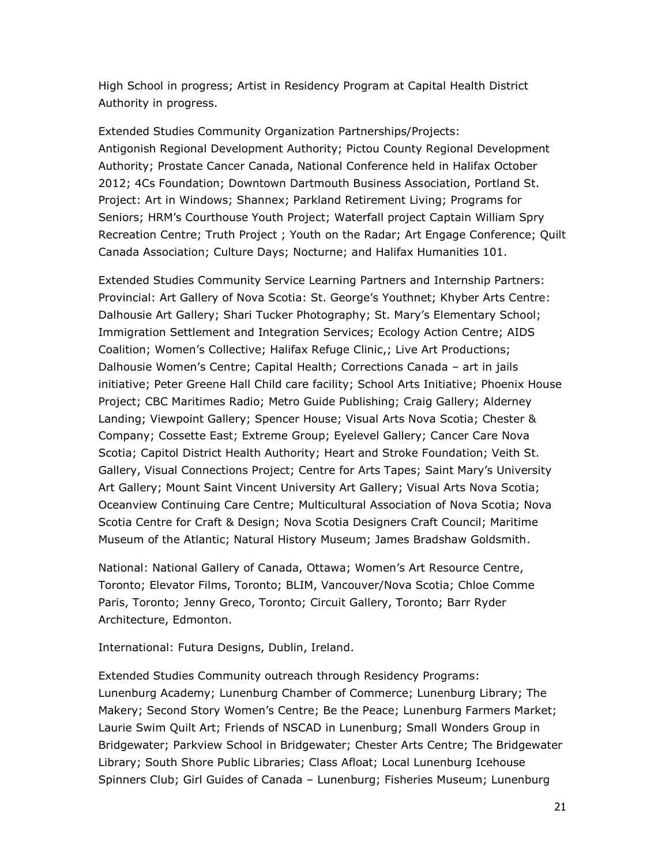High School in progress; Artist in Residency Program at Capital Health District Authority in progress.

Extended Studies Community Organization Partnerships/Projects: Antigonish Regional Development Authority; Pictou County Regional Development Authority; Prostate Cancer Canada, National Conference held in Halifax October 2012; 4Cs Foundation; Downtown Dartmouth Business Association, Portland St. Project: Art in Windows; Shannex; Parkland Retirement Living; Programs for Seniors; HRM's Courthouse Youth Project; Waterfall project Captain William Spry Recreation Centre; Truth Project ; Youth on the Radar; Art Engage Conference; Quilt Canada Association; Culture Days; Nocturne; and Halifax Humanities 101.

Extended Studies Community Service Learning Partners and Internship Partners: Provincial: Art Gallery of Nova Scotia: St. George's Youthnet; Khyber Arts Centre: Dalhousie Art Gallery; Shari Tucker Photography; St. Mary's Elementary School; Immigration Settlement and Integration Services; Ecology Action Centre; AIDS Coalition; Women's Collective; Halifax Refuge Clinic,; Live Art Productions; Dalhousie Women's Centre; Capital Health; Corrections Canada – art in jails initiative; Peter Greene Hall Child care facility; School Arts Initiative; Phoenix House Project; CBC Maritimes Radio; Metro Guide Publishing; Craig Gallery; Alderney Landing; Viewpoint Gallery; Spencer House; Visual Arts Nova Scotia; Chester & Company; Cossette East; Extreme Group; Eyelevel Gallery; Cancer Care Nova Scotia; Capitol District Health Authority; Heart and Stroke Foundation; Veith St. Gallery, Visual Connections Project; Centre for Arts Tapes; Saint Mary's University Art Gallery; Mount Saint Vincent University Art Gallery; Visual Arts Nova Scotia; Oceanview Continuing Care Centre; Multicultural Association of Nova Scotia; Nova Scotia Centre for Craft & Design; Nova Scotia Designers Craft Council; Maritime Museum of the Atlantic; Natural History Museum; James Bradshaw Goldsmith.

National: National Gallery of Canada, Ottawa; Women's Art Resource Centre, Toronto; Elevator Films, Toronto; BLIM, Vancouver/Nova Scotia; Chloe Comme Paris, Toronto; Jenny Greco, Toronto; Circuit Gallery, Toronto; Barr Ryder Architecture, Edmonton.

International: Futura Designs, Dublin, Ireland.

Extended Studies Community outreach through Residency Programs: Lunenburg Academy; Lunenburg Chamber of Commerce; Lunenburg Library; The Makery; Second Story Women's Centre; Be the Peace; Lunenburg Farmers Market; Laurie Swim Quilt Art; Friends of NSCAD in Lunenburg; Small Wonders Group in Bridgewater; Parkview School in Bridgewater; Chester Arts Centre; The Bridgewater Library; South Shore Public Libraries; Class Afloat; Local Lunenburg Icehouse Spinners Club; Girl Guides of Canada – Lunenburg; Fisheries Museum; Lunenburg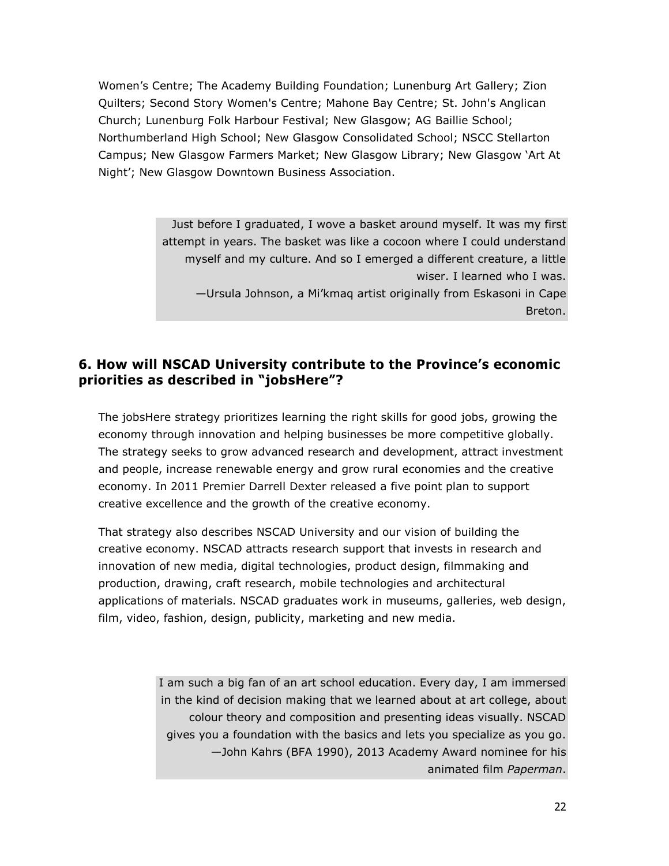Women's Centre; The Academy Building Foundation; Lunenburg Art Gallery; Zion Quilters; Second Story Women's Centre; Mahone Bay Centre; St. John's Anglican Church; Lunenburg Folk Harbour Festival; New Glasgow; AG Baillie School; Northumberland High School; New Glasgow Consolidated School; NSCC Stellarton Campus; New Glasgow Farmers Market; New Glasgow Library; New Glasgow 'Art At Night'; New Glasgow Downtown Business Association.

> Just before I graduated, I wove a basket around myself. It was my first attempt in years. The basket was like a cocoon where I could understand myself and my culture. And so I emerged a different creature, a little wiser. I learned who I was. —Ursula Johnson, a Mi'kmaq artist originally from Eskasoni in Cape Breton.

### **6. How will NSCAD University contribute to the Province's economic priorities as described in "jobsHere"?**

The jobsHere strategy prioritizes learning the right skills for good jobs, growing the economy through innovation and helping businesses be more competitive globally. The strategy seeks to grow advanced research and development, attract investment and people, increase renewable energy and grow rural economies and the creative economy. In 2011 Premier Darrell Dexter released a five point plan to support creative excellence and the growth of the creative economy.

That strategy also describes NSCAD University and our vision of building the creative economy. NSCAD attracts research support that invests in research and innovation of new media, digital technologies, product design, filmmaking and production, drawing, craft research, mobile technologies and architectural applications of materials. NSCAD graduates work in museums, galleries, web design, film, video, fashion, design, publicity, marketing and new media.

> I am such a big fan of an art school education. Every day, I am immersed in the kind of decision making that we learned about at art college, about colour theory and composition and presenting ideas visually. NSCAD gives you a foundation with the basics and lets you specialize as you go. —John Kahrs (BFA 1990), 2013 Academy Award nominee for his animated film *Paperman*.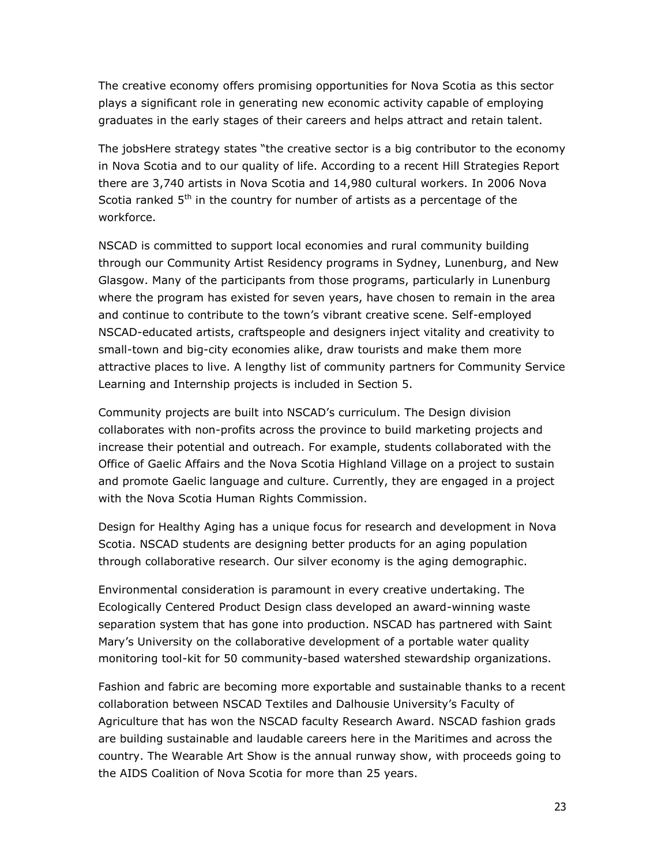The creative economy offers promising opportunities for Nova Scotia as this sector plays a significant role in generating new economic activity capable of employing graduates in the early stages of their careers and helps attract and retain talent.

The jobsHere strategy states "the creative sector is a big contributor to the economy in Nova Scotia and to our quality of life. According to a recent Hill Strategies Report there are 3,740 artists in Nova Scotia and 14,980 cultural workers. In 2006 Nova Scotia ranked  $5<sup>th</sup>$  in the country for number of artists as a percentage of the workforce.

NSCAD is committed to support local economies and rural community building through our Community Artist Residency programs in Sydney, Lunenburg, and New Glasgow. Many of the participants from those programs, particularly in Lunenburg where the program has existed for seven years, have chosen to remain in the area and continue to contribute to the town's vibrant creative scene. Self-employed NSCAD-educated artists, craftspeople and designers inject vitality and creativity to small-town and big-city economies alike, draw tourists and make them more attractive places to live. A lengthy list of community partners for Community Service Learning and Internship projects is included in Section 5.

Community projects are built into NSCAD's curriculum. The Design division collaborates with non-profits across the province to build marketing projects and increase their potential and outreach. For example, students collaborated with the Office of Gaelic Affairs and the Nova Scotia Highland Village on a project to sustain and promote Gaelic language and culture. Currently, they are engaged in a project with the Nova Scotia Human Rights Commission.

Design for Healthy Aging has a unique focus for research and development in Nova Scotia. NSCAD students are designing better products for an aging population through collaborative research. Our silver economy is the aging demographic.

Environmental consideration is paramount in every creative undertaking. The Ecologically Centered Product Design class developed an award-winning waste separation system that has gone into production. NSCAD has partnered with Saint Mary's University on the collaborative development of a portable water quality monitoring tool-kit for 50 community-based watershed stewardship organizations.

Fashion and fabric are becoming more exportable and sustainable thanks to a recent collaboration between NSCAD Textiles and Dalhousie University's Faculty of Agriculture that has won the NSCAD faculty Research Award. NSCAD fashion grads are building sustainable and laudable careers here in the Maritimes and across the country. The Wearable Art Show is the annual runway show, with proceeds going to the AIDS Coalition of Nova Scotia for more than 25 years.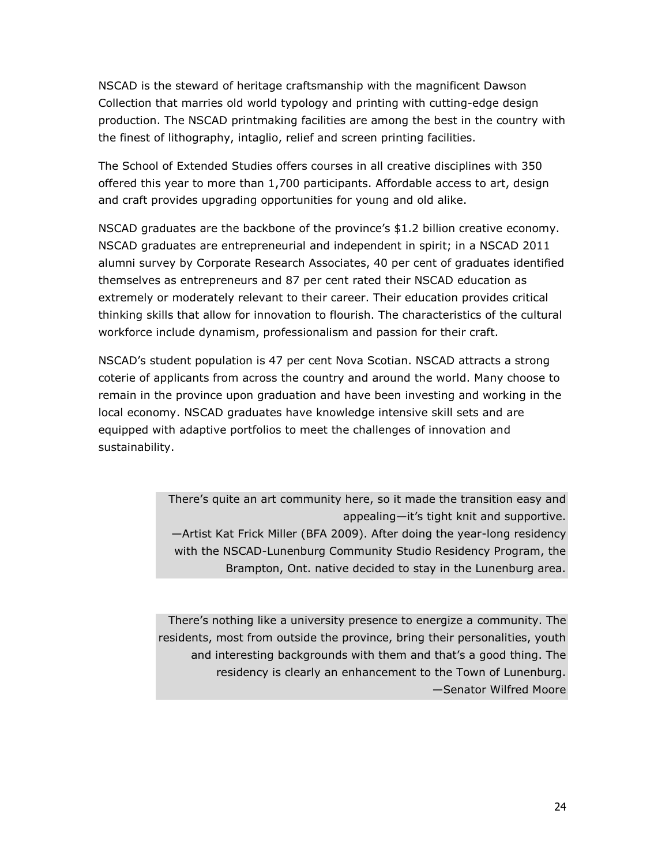NSCAD is the steward of heritage craftsmanship with the magnificent Dawson Collection that marries old world typology and printing with cutting-edge design production. The NSCAD printmaking facilities are among the best in the country with the finest of lithography, intaglio, relief and screen printing facilities.

The School of Extended Studies offers courses in all creative disciplines with 350 offered this year to more than 1,700 participants. Affordable access to art, design and craft provides upgrading opportunities for young and old alike.

NSCAD graduates are the backbone of the province's \$1.2 billion creative economy. NSCAD graduates are entrepreneurial and independent in spirit; in a NSCAD 2011 alumni survey by Corporate Research Associates, 40 per cent of graduates identified themselves as entrepreneurs and 87 per cent rated their NSCAD education as extremely or moderately relevant to their career. Their education provides critical thinking skills that allow for innovation to flourish. The characteristics of the cultural workforce include dynamism, professionalism and passion for their craft.

NSCAD's student population is 47 per cent Nova Scotian. NSCAD attracts a strong coterie of applicants from across the country and around the world. Many choose to remain in the province upon graduation and have been investing and working in the local economy. NSCAD graduates have knowledge intensive skill sets and are equipped with adaptive portfolios to meet the challenges of innovation and sustainability.

> There's quite an art community here, so it made the transition easy and appealing—it's tight knit and supportive. —Artist Kat Frick Miller (BFA 2009). After doing the year-long residency with the NSCAD-Lunenburg Community Studio Residency Program, the Brampton, Ont. native decided to stay in the Lunenburg area.

There's nothing like a university presence to energize a community. The residents, most from outside the province, bring their personalities, youth and interesting backgrounds with them and that's a good thing. The residency is clearly an enhancement to the Town of Lunenburg. —Senator Wilfred Moore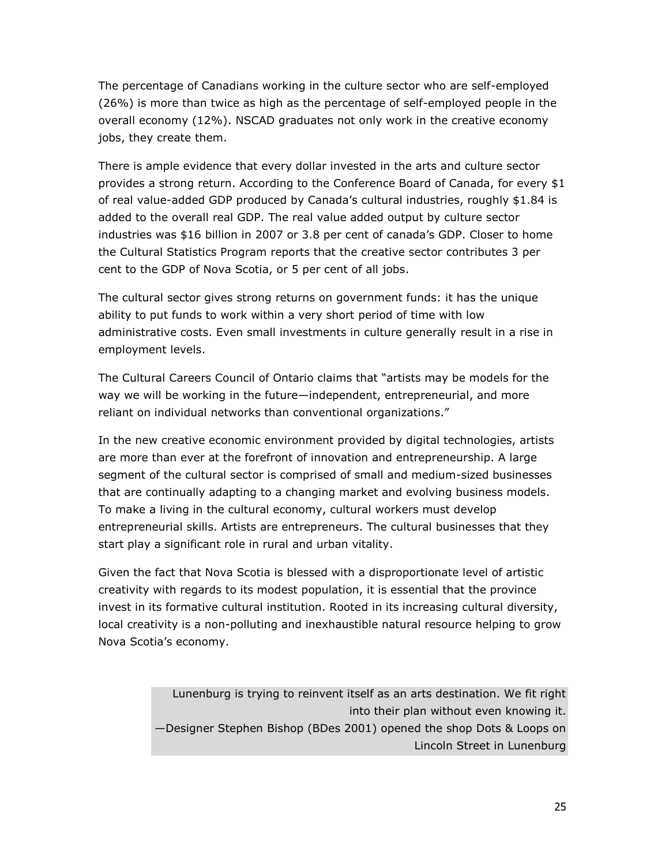The percentage of Canadians working in the culture sector who are self-employed (26%) is more than twice as high as the percentage of self-employed people in the overall economy (12%). NSCAD graduates not only work in the creative economy jobs, they create them.

There is ample evidence that every dollar invested in the arts and culture sector provides a strong return. According to the Conference Board of Canada, for every \$1 of real value-added GDP produced by Canada's cultural industries, roughly \$1.84 is added to the overall real GDP. The real value added output by culture sector industries was \$16 billion in 2007 or 3.8 per cent of canada's GDP. Closer to home the Cultural Statistics Program reports that the creative sector contributes 3 per cent to the GDP of Nova Scotia, or 5 per cent of all jobs.

The cultural sector gives strong returns on government funds: it has the unique ability to put funds to work within a very short period of time with low administrative costs. Even small investments in culture generally result in a rise in employment levels.

The Cultural Careers Council of Ontario claims that "artists may be models for the way we will be working in the future—independent, entrepreneurial, and more reliant on individual networks than conventional organizations."

In the new creative economic environment provided by digital technologies, artists are more than ever at the forefront of innovation and entrepreneurship. A large segment of the cultural sector is comprised of small and medium-sized businesses that are continually adapting to a changing market and evolving business models. To make a living in the cultural economy, cultural workers must develop entrepreneurial skills. Artists are entrepreneurs. The cultural businesses that they start play a significant role in rural and urban vitality.

Given the fact that Nova Scotia is blessed with a disproportionate level of artistic creativity with regards to its modest population, it is essential that the province invest in its formative cultural institution. Rooted in its increasing cultural diversity, local creativity is a non-polluting and inexhaustible natural resource helping to grow Nova Scotia's economy.

> Lunenburg is trying to reinvent itself as an arts destination. We fit right into their plan without even knowing it. —Designer Stephen Bishop (BDes 2001) opened the shop Dots & Loops on Lincoln Street in Lunenburg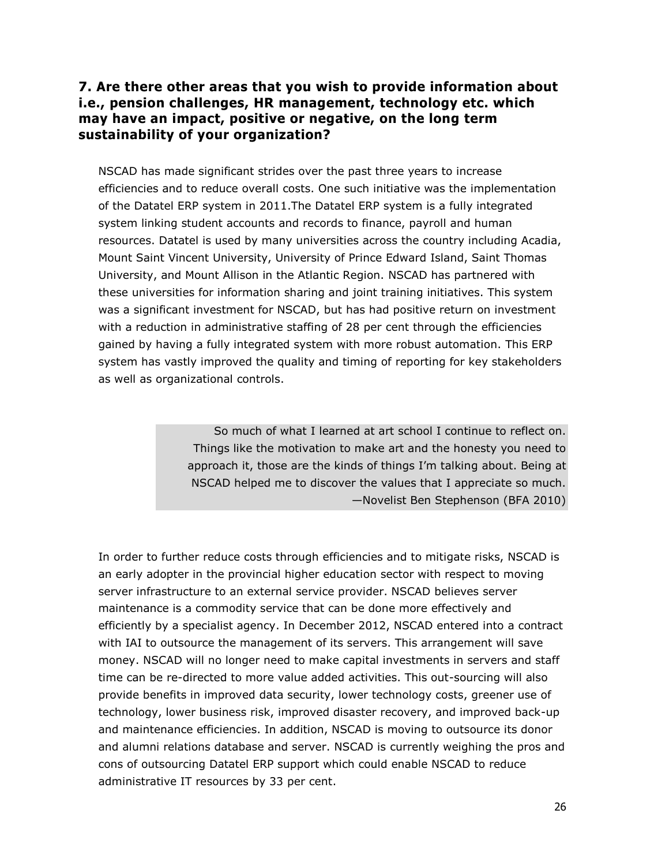### **7. Are there other areas that you wish to provide information about i.e., pension challenges, HR management, technology etc. which may have an impact, positive or negative, on the long term sustainability of your organization?**

NSCAD has made significant strides over the past three years to increase efficiencies and to reduce overall costs. One such initiative was the implementation of the Datatel ERP system in 2011.The Datatel ERP system is a fully integrated system linking student accounts and records to finance, payroll and human resources. Datatel is used by many universities across the country including Acadia, Mount Saint Vincent University, University of Prince Edward Island, Saint Thomas University, and Mount Allison in the Atlantic Region. NSCAD has partnered with these universities for information sharing and joint training initiatives. This system was a significant investment for NSCAD, but has had positive return on investment with a reduction in administrative staffing of 28 per cent through the efficiencies gained by having a fully integrated system with more robust automation. This ERP system has vastly improved the quality and timing of reporting for key stakeholders as well as organizational controls.

> So much of what I learned at art school I continue to reflect on. Things like the motivation to make art and the honesty you need to approach it, those are the kinds of things I'm talking about. Being at NSCAD helped me to discover the values that I appreciate so much. —Novelist Ben Stephenson (BFA 2010)

In order to further reduce costs through efficiencies and to mitigate risks, NSCAD is an early adopter in the provincial higher education sector with respect to moving server infrastructure to an external service provider. NSCAD believes server maintenance is a commodity service that can be done more effectively and efficiently by a specialist agency. In December 2012, NSCAD entered into a contract with IAI to outsource the management of its servers. This arrangement will save money. NSCAD will no longer need to make capital investments in servers and staff time can be re-directed to more value added activities. This out-sourcing will also provide benefits in improved data security, lower technology costs, greener use of technology, lower business risk, improved disaster recovery, and improved back-up and maintenance efficiencies. In addition, NSCAD is moving to outsource its donor and alumni relations database and server. NSCAD is currently weighing the pros and cons of outsourcing Datatel ERP support which could enable NSCAD to reduce administrative IT resources by 33 per cent.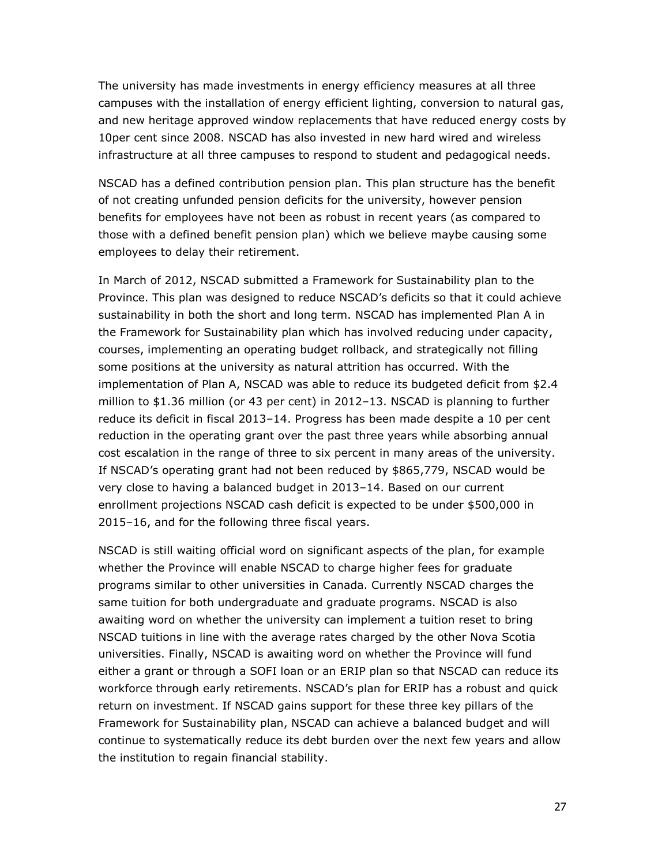The university has made investments in energy efficiency measures at all three campuses with the installation of energy efficient lighting, conversion to natural gas, and new heritage approved window replacements that have reduced energy costs by 10per cent since 2008. NSCAD has also invested in new hard wired and wireless infrastructure at all three campuses to respond to student and pedagogical needs.

NSCAD has a defined contribution pension plan. This plan structure has the benefit of not creating unfunded pension deficits for the university, however pension benefits for employees have not been as robust in recent years (as compared to those with a defined benefit pension plan) which we believe maybe causing some employees to delay their retirement.

In March of 2012, NSCAD submitted a Framework for Sustainability plan to the Province. This plan was designed to reduce NSCAD's deficits so that it could achieve sustainability in both the short and long term. NSCAD has implemented Plan A in the Framework for Sustainability plan which has involved reducing under capacity, courses, implementing an operating budget rollback, and strategically not filling some positions at the university as natural attrition has occurred. With the implementation of Plan A, NSCAD was able to reduce its budgeted deficit from \$2.4 million to \$1.36 million (or 43 per cent) in 2012–13. NSCAD is planning to further reduce its deficit in fiscal 2013–14. Progress has been made despite a 10 per cent reduction in the operating grant over the past three years while absorbing annual cost escalation in the range of three to six percent in many areas of the university. If NSCAD's operating grant had not been reduced by \$865,779, NSCAD would be very close to having a balanced budget in 2013–14. Based on our current enrollment projections NSCAD cash deficit is expected to be under \$500,000 in 2015–16, and for the following three fiscal years.

NSCAD is still waiting official word on significant aspects of the plan, for example whether the Province will enable NSCAD to charge higher fees for graduate programs similar to other universities in Canada. Currently NSCAD charges the same tuition for both undergraduate and graduate programs. NSCAD is also awaiting word on whether the university can implement a tuition reset to bring NSCAD tuitions in line with the average rates charged by the other Nova Scotia universities. Finally, NSCAD is awaiting word on whether the Province will fund either a grant or through a SOFI loan or an ERIP plan so that NSCAD can reduce its workforce through early retirements. NSCAD's plan for ERIP has a robust and quick return on investment. If NSCAD gains support for these three key pillars of the Framework for Sustainability plan, NSCAD can achieve a balanced budget and will continue to systematically reduce its debt burden over the next few years and allow the institution to regain financial stability.